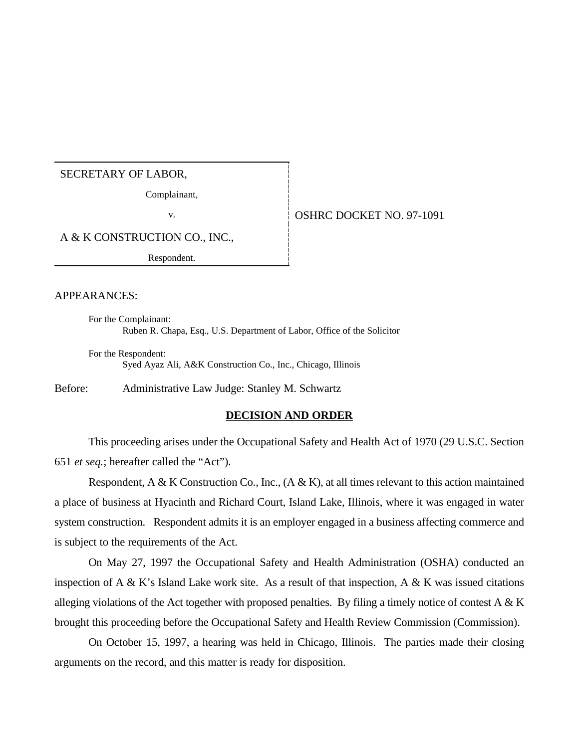## SECRETARY OF LABOR,

Complainant,

v. 6. OSHRC DOCKET NO. 97-1091

A & K CONSTRUCTION CO., INC.,

Respondent.

## APPEARANCES:

For the Complainant: Ruben R. Chapa, Esq., U.S. Department of Labor, Office of the Solicitor

For the Respondent: Syed Ayaz Ali, A&K Construction Co., Inc., Chicago, Illinois

Before: Administrative Law Judge: Stanley M. Schwartz

## **DECISION AND ORDER**

This proceeding arises under the Occupational Safety and Health Act of 1970 (29 U.S.C. Section 651 *et seq.*; hereafter called the "Act").

Respondent, A & K Construction Co., Inc.,  $(A \& K)$ , at all times relevant to this action maintained a place of business at Hyacinth and Richard Court, Island Lake, Illinois, where it was engaged in water system construction. Respondent admits it is an employer engaged in a business affecting commerce and is subject to the requirements of the Act.

On May 27, 1997 the Occupational Safety and Health Administration (OSHA) conducted an inspection of A & K's Island Lake work site. As a result of that inspection, A & K was issued citations alleging violations of the Act together with proposed penalties. By filing a timely notice of contest A  $\&$  K brought this proceeding before the Occupational Safety and Health Review Commission (Commission).

On October 15, 1997, a hearing was held in Chicago, Illinois. The parties made their closing arguments on the record, and this matter is ready for disposition.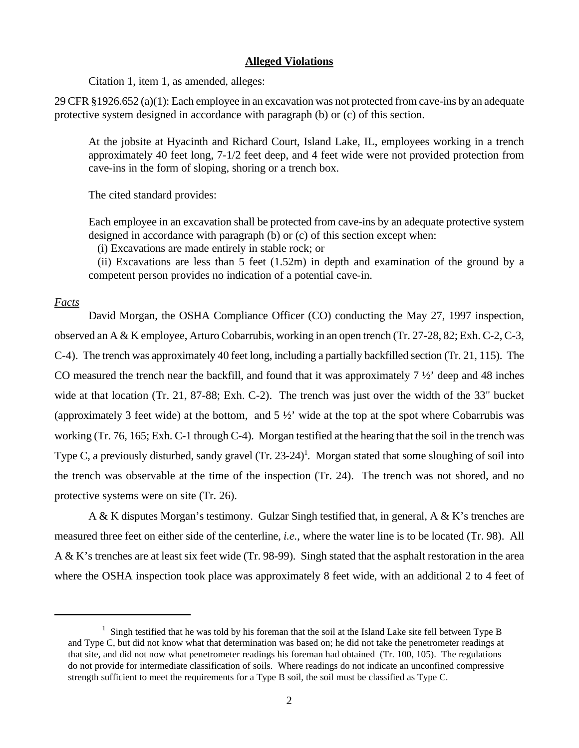#### **Alleged Violations**

Citation 1, item 1, as amended, alleges:

29 CFR §1926.652 (a)(1): Each employee in an excavation was not protected from cave-ins by an adequate protective system designed in accordance with paragraph (b) or (c) of this section.

At the jobsite at Hyacinth and Richard Court, Island Lake, IL, employees working in a trench approximately 40 feet long, 7-1/2 feet deep, and 4 feet wide were not provided protection from cave-ins in the form of sloping, shoring or a trench box.

The cited standard provides:

Each employee in an excavation shall be protected from cave-ins by an adequate protective system designed in accordance with paragraph (b) or (c) of this section except when:

(i) Excavations are made entirely in stable rock; or

 (ii) Excavations are less than 5 feet (1.52m) in depth and examination of the ground by a competent person provides no indication of a potential cave-in.

### *Facts*

David Morgan, the OSHA Compliance Officer (CO) conducting the May 27, 1997 inspection, observed an A & K employee, Arturo Cobarrubis, working in an open trench (Tr. 27-28, 82; Exh. C-2, C-3, C-4). The trench was approximately 40 feet long, including a partially backfilled section (Tr. 21, 115). The CO measured the trench near the backfill, and found that it was approximately 7 ½' deep and 48 inches wide at that location (Tr. 21, 87-88; Exh. C-2). The trench was just over the width of the 33" bucket (approximately 3 feet wide) at the bottom, and 5 ½' wide at the top at the spot where Cobarrubis was working (Tr. 76, 165; Exh. C-1 through C-4). Morgan testified at the hearing that the soil in the trench was Type C, a previously disturbed, sandy gravel  $(Tr. 23-24)^1$ . Morgan stated that some sloughing of soil into the trench was observable at the time of the inspection (Tr. 24). The trench was not shored, and no protective systems were on site (Tr. 26).

A & K disputes Morgan's testimony. Gulzar Singh testified that, in general, A & K's trenches are measured three feet on either side of the centerline, *i.e.*, where the water line is to be located (Tr. 98). All A & K's trenches are at least six feet wide (Tr. 98-99). Singh stated that the asphalt restoration in the area where the OSHA inspection took place was approximately 8 feet wide, with an additional 2 to 4 feet of

<sup>&</sup>lt;sup>1</sup> Singh testified that he was told by his foreman that the soil at the Island Lake site fell between Type B and Type C, but did not know what that determination was based on; he did not take the penetrometer readings at that site, and did not now what penetrometer readings his foreman had obtained (Tr. 100, 105). The regulations do not provide for intermediate classification of soils. Where readings do not indicate an unconfined compressive strength sufficient to meet the requirements for a Type B soil, the soil must be classified as Type C.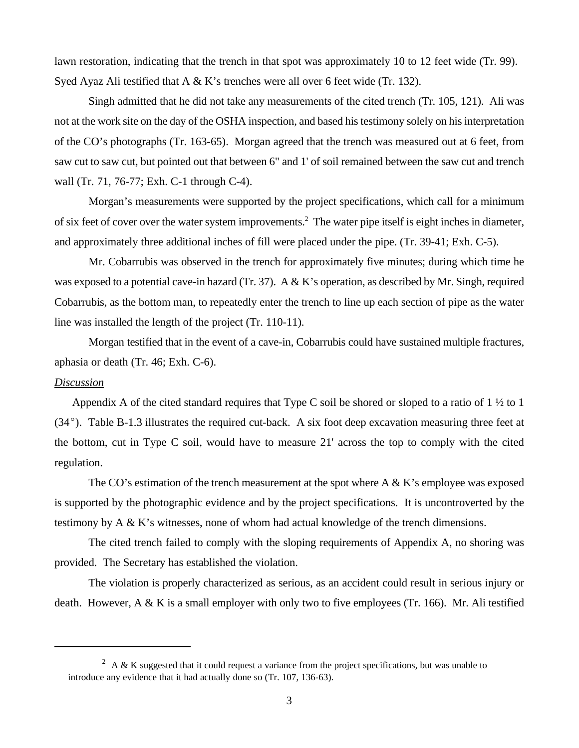lawn restoration, indicating that the trench in that spot was approximately 10 to 12 feet wide (Tr. 99). Syed Ayaz Ali testified that A & K's trenches were all over 6 feet wide (Tr. 132).

Singh admitted that he did not take any measurements of the cited trench (Tr. 105, 121). Ali was not at the work site on the day of the OSHA inspection, and based his testimony solely on his interpretation of the CO's photographs (Tr. 163-65). Morgan agreed that the trench was measured out at 6 feet, from saw cut to saw cut, but pointed out that between 6" and 1' of soil remained between the saw cut and trench wall (Tr. 71, 76-77; Exh. C-1 through C-4).

Morgan's measurements were supported by the project specifications, which call for a minimum of six feet of cover over the water system improvements.<sup>2</sup> The water pipe itself is eight inches in diameter, and approximately three additional inches of fill were placed under the pipe. (Tr. 39-41; Exh. C-5).

Mr. Cobarrubis was observed in the trench for approximately five minutes; during which time he was exposed to a potential cave-in hazard (Tr. 37). A & K's operation, as described by Mr. Singh, required Cobarrubis, as the bottom man, to repeatedly enter the trench to line up each section of pipe as the water line was installed the length of the project (Tr. 110-11).

Morgan testified that in the event of a cave-in, Cobarrubis could have sustained multiple fractures, aphasia or death (Tr. 46; Exh. C-6).

#### *Discussion*

 Appendix A of the cited standard requires that Type C soil be shored or sloped to a ratio of 1 ½ to 1  $(34^{\circ})$ . Table B-1.3 illustrates the required cut-back. A six foot deep excavation measuring three feet at the bottom, cut in Type C soil, would have to measure 21' across the top to comply with the cited regulation.

The CO's estimation of the trench measurement at the spot where A  $\&$  K's employee was exposed is supported by the photographic evidence and by the project specifications. It is uncontroverted by the testimony by A & K's witnesses, none of whom had actual knowledge of the trench dimensions.

The cited trench failed to comply with the sloping requirements of Appendix A, no shoring was provided. The Secretary has established the violation.

The violation is properly characterized as serious, as an accident could result in serious injury or death. However, A & K is a small employer with only two to five employees (Tr. 166). Mr. Ali testified

 $2 \text{ A} \& \text{ K}$  suggested that it could request a variance from the project specifications, but was unable to introduce any evidence that it had actually done so (Tr. 107, 136-63).